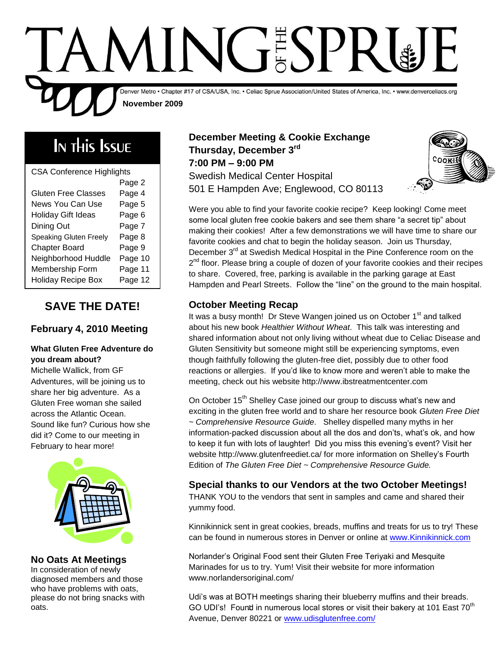

# In this Issue

| <b>CSA Conference Highlights</b> |         |  |
|----------------------------------|---------|--|
|                                  | Page 2  |  |
| Gluten Free Classes              | Page 4  |  |
| News You Can Use                 | Page 5  |  |
| Holiday Gift Ideas               | Page 6  |  |
| Dining Out                       | Page 7  |  |
| <b>Speaking Gluten Freely</b>    | Page 8  |  |
| <b>Chapter Board</b>             | Page 9  |  |
| Neighborhood Huddle              | Page 10 |  |
| Membership Form                  | Page 11 |  |
| <b>Holiday Recipe Box</b>        | Page 12 |  |

## **SAVE THE DATE!**

### **February 4, 2010 Meeting**

#### **What Gluten Free Adventure do you dream about?**

Michelle Wallick, from GF Adventures, will be joining us to share her big adventure. As a Gluten Free woman she sailed across the Atlantic Ocean. Sound like fun? Curious how she did it? Come to our meeting in February to hear more!



#### **No Oats At Meetings**

In consideration of newly diagnosed members and those who have problems with oats, please do not bring snacks with oats.

### **December Meeting & Cookie Exchange Thursday, December 3rd 7:00 PM – 9:00 PM** Swedish Medical Center Hospital 501 E Hampden Ave; Englewood, CO 80113



Were you able to find your favorite cookie recipe? Keep looking! Come meet some local gluten free cookie bakers and see them share "a secret tip" about making their cookies! After a few demonstrations we will have time to share our favorite cookies and chat to begin the holiday season. Join us Thursday, December 3<sup>rd</sup> at Swedish Medical Hospital in the Pine Conference room on the 2<sup>nd</sup> floor. Please bring a couple of dozen of your favorite cookies and their recipes to share. Covered, free, parking is available in the parking garage at East Hampden and Pearl Streets. Follow the "line" on the ground to the main hospital.

## **October Meeting Recap**

It was a busy month! Dr Steve Wangen joined us on October 1<sup>st</sup> and talked about his new book *Healthier Without Wheat*. This talk was interesting and shared information about not only living without wheat due to Celiac Disease and Gluten Sensitivity but someone might still be experiencing symptoms, even though faithfully following the gluten-free diet, possibly due to other food reactions or allergies. If you'd like to know more and weren't able to make the meeting, check out his website http://www.ibstreatmentcenter.com

On October 15<sup>th</sup> Shelley Case joined our group to discuss what's new and exciting in the gluten free world and to share her resource book *Gluten Free Diet ~ Comprehensive Resource Guide*. Shelley dispelled many myths in her information-packed discussion about all the dos and don'ts, what's ok, and how to keep it fun with lots of laughter! Did you miss this evening's event? Visit her website http://www.glutenfreediet.ca/ for more information on Shelley's Fourth Edition of *The Gluten Free Diet ~ Comprehensive Resource Guide.*

### **Special thanks to our Vendors at the two October Meetings!**

THANK YOU to the vendors that sent in samples and came and shared their yummy food.

Kinnikinnick sent in great cookies, breads, muffins and treats for us to try! These can be found in numerous stores in Denver or online at [www.Kinnikinnick.com](http://www.kinnikinnick.com/)

Norlander's Original Food sent their Gluten Free Teriyaki and Mesquite Marinades for us to try. Yum! Visit their website for more information www.norlandersoriginal.com/

GO UDI's! Found in numerous local stores or visit their bakery at 101 East 70<sup>th</sup> Udi's was at BOTH meetings sharing their blueberry muffins and their breads. Avenue, Denver 80221 or [www.udisglutenfree.com/](http://www.udisglutenfree.com/)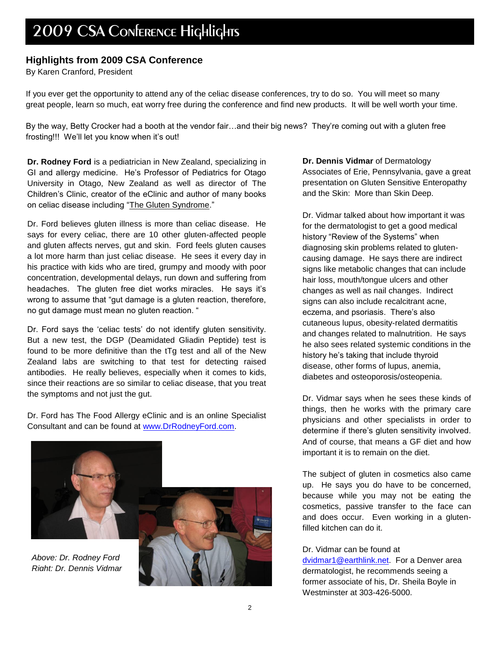#### **Highlights from 2009 CSA Conference**

By Karen Cranford, President

If you ever get the opportunity to attend any of the celiac disease conferences, try to do so. You will meet so many great people, learn so much, eat worry free during the conference and find new products. It will be well worth your time.

By the way, Betty Crocker had a booth at the vendor fair…and their big news? They're coming out with a gluten free frosting!!! We'll let you know when it's out!

**Dr. Rodney Ford** is a pediatrician in New Zealand, specializing in GI and allergy medicine. He's Professor of Pediatrics for Otago University in Otago, New Zealand as well as director of The Children's Clinic, creator of the eClinic and author of many books on celiac disease including "The Gluten Syndrome."

Dr. Ford believes gluten illness is more than celiac disease. He says for every celiac, there are 10 other gluten-affected people and gluten affects nerves, gut and skin. Ford feels gluten causes a lot more harm than just celiac disease. He sees it every day in his practice with kids who are tired, grumpy and moody with poor concentration, developmental delays, run down and suffering from headaches. The gluten free diet works miracles. He says it's wrong to assume that "gut damage is a gluten reaction, therefore, no gut damage must mean no gluten reaction. "

Dr. Ford says the 'celiac tests' do not identify gluten sensitivity. But a new test, the DGP (Deamidated Gliadin Peptide) test is found to be more definitive than the tTg test and all of the New Zealand labs are switching to that test for detecting raised antibodies. He really believes, especially when it comes to kids, since their reactions are so similar to celiac disease, that you treat the symptoms and not just the gut.

Dr. Ford has The Food Allergy eClinic and is an online Specialist Consultant and can be found at [www.DrRodneyFord.com.](http://www.drrodneyford.com/)



*Above: Dr. Rodney Ford Right: Dr. Dennis Vidmar*



**Dr. Dennis Vidmar** of Dermatology Associates of Erie, Pennsylvania, gave a great presentation on Gluten Sensitive Enteropathy and the Skin: More than Skin Deep.

Dr. Vidmar talked about how important it was for the dermatologist to get a good medical history "Review of the Systems" when diagnosing skin problems related to glutencausing damage. He says there are indirect signs like metabolic changes that can include hair loss, mouth/tongue ulcers and other changes as well as nail changes. Indirect signs can also include recalcitrant acne, eczema, and psoriasis. There's also cutaneous lupus, obesity-related dermatitis and changes related to malnutrition. He says he also sees related systemic conditions in the history he's taking that include thyroid disease, other forms of lupus, anemia, diabetes and osteoporosis/osteopenia.

Dr. Vidmar says when he sees these kinds of things, then he works with the primary care physicians and other specialists in order to determine if there's gluten sensitivity involved. And of course, that means a GF diet and how important it is to remain on the diet.

The subject of gluten in cosmetics also came up. He says you do have to be concerned, because while you may not be eating the cosmetics, passive transfer to the face can and does occur. Even working in a glutenfilled kitchen can do it.

Dr. Vidmar can be found at

[dvidmar1@earthlink.net.](mailto:dvidmar1@earthlink.net) For a Denver area dermatologist, he recommends seeing a former associate of his, Dr. Sheila Boyle in Westminster at 303-426-5000.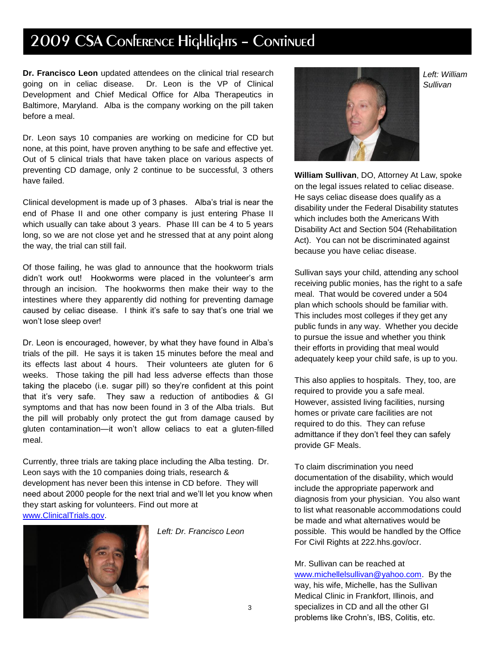# 2009 CSA Conference Highlights - Continued

**Dr. Francisco Leon** updated attendees on the clinical trial research going on in celiac disease. Dr. Leon is the VP of Clinical Development and Chief Medical Office for Alba Therapeutics in Baltimore, Maryland. Alba is the company working on the pill taken before a meal.

Dr. Leon says 10 companies are working on medicine for CD but none, at this point, have proven anything to be safe and effective yet. Out of 5 clinical trials that have taken place on various aspects of preventing CD damage, only 2 continue to be successful, 3 others have failed.

Clinical development is made up of 3 phases. Alba's trial is near the end of Phase II and one other company is just entering Phase II which usually can take about 3 years. Phase III can be 4 to 5 years long, so we are not close yet and he stressed that at any point along the way, the trial can still fail.

Of those failing, he was glad to announce that the hookworm trials didn't work out! Hookworms were placed in the volunteer's arm through an incision. The hookworms then make their way to the intestines where they apparently did nothing for preventing damage caused by celiac disease. I think it's safe to say that's one trial we won't lose sleep over!

Dr. Leon is encouraged, however, by what they have found in Alba's trials of the pill. He says it is taken 15 minutes before the meal and its effects last about 4 hours. Their volunteers ate gluten for 6 weeks. Those taking the pill had less adverse effects than those taking the placebo (i.e. sugar pill) so they're confident at this point that it's very safe. They saw a reduction of antibodies & GI symptoms and that has now been found in 3 of the Alba trials. But the pill will probably only protect the gut from damage caused by gluten contamination—it won't allow celiacs to eat a gluten-filled meal.

Currently, three trials are taking place including the Alba testing. Dr. Leon says with the 10 companies doing trials, research & development has never been this intense in CD before. They will need about 2000 people for the next trial and we'll let you know when they start asking for volunteers. Find out more at [www.ClinicalTrials.gov.](http://www.clinicaltrials.gov/)



*Left: Dr. Francisco Leon*



*Left: William Sullivan*

**William Sullivan**, DO, Attorney At Law, spoke on the legal issues related to celiac disease. He says celiac disease does qualify as a disability under the Federal Disability statutes which includes both the Americans With Disability Act and Section 504 (Rehabilitation Act). You can not be discriminated against because you have celiac disease.

Sullivan says your child, attending any school receiving public monies, has the right to a safe meal. That would be covered under a 504 plan which schools should be familiar with. This includes most colleges if they get any public funds in any way. Whether you decide to pursue the issue and whether you think their efforts in providing that meal would adequately keep your child safe, is up to you.

This also applies to hospitals. They, too, are required to provide you a safe meal. However, assisted living facilities, nursing homes or private care facilities are not required to do this. They can refuse admittance if they don't feel they can safely provide GF Meals.

To claim discrimination you need documentation of the disability, which would include the appropriate paperwork and diagnosis from your physician. You also want to list what reasonable accommodations could be made and what alternatives would be possible. This would be handled by the Office For Civil Rights at 222.hhs.gov/ocr.

Mr. Sullivan can be reached at [www.michellelsullivan@yahoo.com.](http://www.michellelsullivan@yahoo.com/) By the way, his wife, Michelle, has the Sullivan Medical Clinic in Frankfort, Illinois, and specializes in CD and all the other GI problems like Crohn's, IBS, Colitis, etc.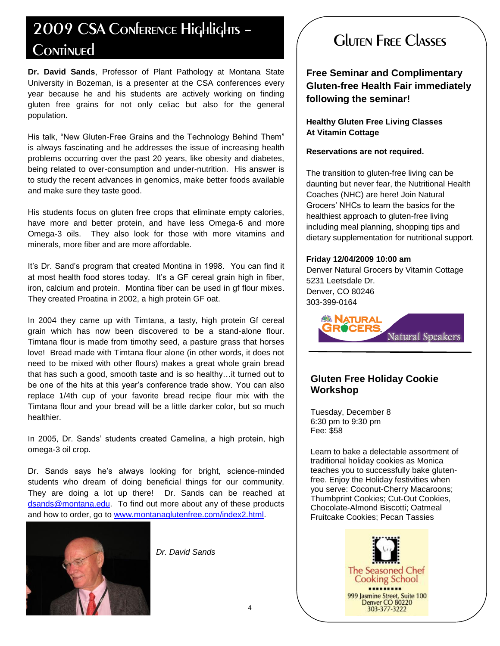# 2009 CSA Conference Highlights – Continued

**Dr. David Sands**, Professor of Plant Pathology at Montana State University in Bozeman, is a presenter at the CSA conferences every year because he and his students are actively working on finding gluten free grains for not only celiac but also for the general population.

His talk, "New Gluten-Free Grains and the Technology Behind Them" is always fascinating and he addresses the issue of increasing health problems occurring over the past 20 years, like obesity and diabetes, being related to over-consumption and under-nutrition. His answer is to study the recent advances in genomics, make better foods available and make sure they taste good.

His students focus on gluten free crops that eliminate empty calories, have more and better protein, and have less Omega-6 and more Omega-3 oils. They also look for those with more vitamins and minerals, more fiber and are more affordable.

It's Dr. Sand's program that created Montina in 1998. You can find it at most health food stores today. It's a GF cereal grain high in fiber, iron, calcium and protein. Montina fiber can be used in gf flour mixes. They created Proatina in 2002, a high protein GF oat.

In 2004 they came up with Timtana, a tasty, high protein Gf cereal grain which has now been discovered to be a stand-alone flour. Timtana flour is made from timothy seed, a pasture grass that horses love! Bread made with Timtana flour alone (in other words, it does not need to be mixed with other flours) makes a great whole grain bread that has such a good, smooth taste and is so healthy…it turned out to be one of the hits at this year's conference trade show. You can also replace 1/4th cup of your favorite bread recipe flour mix with the Timtana flour and your bread will be a little darker color, but so much healthier.

In 2005, Dr. Sands' students created Camelina, a high protein, high omega-3 oil crop.

Dr. Sands says he's always looking for bright, science-minded students who dream of doing beneficial things for our community. They are doing a lot up there! Dr. Sands can be reached at [dsands@montana.edu.](mailto:dsands@montana.edu) To find out more about any of these products and how to order, go to [www.montanaglutenfree.com/index2.html.](http://www.montanaglutenfree.com/index2.html)



*Dr. David Sands*

# Gluten Free Classes

**Free Seminar and Complimentary Gluten-free Health Fair immediately following the seminar!**

**Healthy Gluten Free Living Classes At Vitamin Cottage**

#### **Reservations are not required.**

The transition to gluten-free living can be daunting but never fear, the Nutritional Health Coaches (NHC) are here! Join Natural Grocers' NHCs to learn the basics for the healthiest approach to gluten-free living including meal planning, shopping tips and dietary supplementation for nutritional support.

#### **Friday 12/04/2009 10:00 am**

Denver Natural Grocers by Vitamin Cottage 5231 Leetsdale Dr. Denver, CO 80246 303-399-0164



#### **Gluten Free Holiday Cookie Workshop**

Tuesday, December 8 6:30 pm to 9:30 pm Fee: \$58

Learn to bake a delectable assortment of traditional holiday cookies as Monica teaches you to successfully bake glutenfree. Enjoy the Holiday festivities when you serve: Coconut-Cherry Macaroons; Thumbprint Cookies; Cut-Out Cookies, Chocolate-Almond Biscotti; Oatmeal Fruitcake Cookies; Pecan Tassies

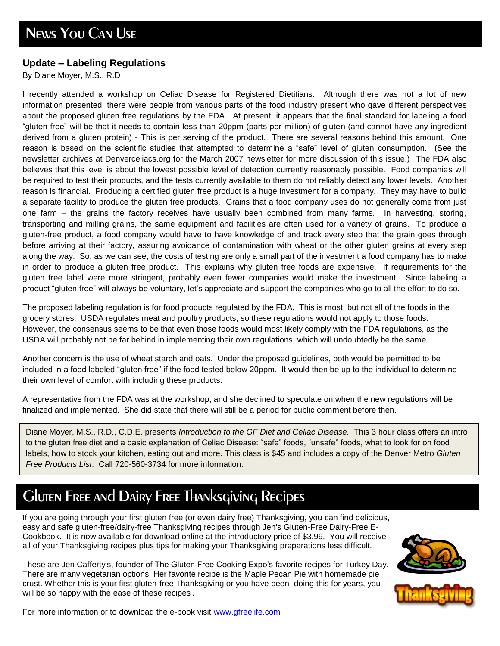### **Update – Labeling Regulations**

By Diane Moyer, M.S., R.D

I recently attended a workshop on Celiac Disease for Registered Dietitians. Although there was not a lot of new information presented, there were people from various parts of the food industry present who gave different perspectives about the proposed gluten free regulations by the FDA. At present, it appears that the final standard for labeling a food ―gluten free‖ will be that it needs to contain less than 20ppm (parts per million) of gluten (and cannot have any ingredient derived from a gluten protein) - This is per serving of the product. There are several reasons behind this amount. One reason is based on the scientific studies that attempted to determine a "safe" level of gluten consumption. (See the newsletter archives at Denverceliacs.org for the March 2007 newsletter for more discussion of this issue.) The FDA also believes that this level is about the lowest possible level of detection currently reasonably possible. Food companies will be required to test their products, and the tests currently available to them do not reliably detect any lower levels. Another reason is financial. Producing a certified gluten free product is a huge investment for a company. They may have to build a separate facility to produce the gluten free products. Grains that a food company uses do not generally come from just one farm – the grains the factory receives have usually been combined from many farms. In harvesting, storing, transporting and milling grains, the same equipment and facilities are often used for a variety of grains. To produce a gluten-free product, a food company would have to have knowledge of and track every step that the grain goes through before arriving at their factory, assuring avoidance of contamination with wheat or the other gluten grains at every step along the way. So, as we can see, the costs of testing are only a small part of the investment a food company has to make in order to produce a gluten free product. This explains why gluten free foods are expensive. If requirements for the gluten free label were more stringent, probably even fewer companies would make the investment. Since labeling a product "gluten free" will always be voluntary, let's appreciate and support the companies who go to all the effort to do so.

The proposed labeling regulation is for food products regulated by the FDA. This is most, but not all of the foods in the grocery stores. USDA regulates meat and poultry products, so these regulations would not apply to those foods. However, the consensus seems to be that even those foods would most likely comply with the FDA regulations, as the USDA will probably not be far behind in implementing their own regulations, which will undoubtedly be the same.

Another concern is the use of wheat starch and oats. Under the proposed guidelines, both would be permitted to be included in a food labeled "gluten free" if the food tested below 20ppm. It would then be up to the individual to determine their own level of comfort with including these products.

A representative from the FDA was at the workshop, and she declined to speculate on when the new regulations will be finalized and implemented. She did state that there will still be a period for public comment before then.

Diane Moyer, M.S., R.D., C.D.E. presents *Introduction to the GF Diet and Celiac Disease.* This 3 hour class offers an intro to the gluten free diet and a basic explanation of Celiac Disease: "safe" foods, "unsafe" foods, what to look for on food labels, how to stock your kitchen, eating out and more. This class is \$45 and includes a copy of the Denver Metro *Gluten Free Products List*. Call 720-560-3734 for more information.

# Gluten Free and Dairy Free Thanksgiving Recipes

If you are going through your first gluten free (or even dairy free) Thanksgiving, you can find delicious, easy and safe gluten-free/dairy-free Thanksgiving recipes through Jen's Gluten-Free Dairy-Free E-Cookbook. It is now available for download online at the introductory price of \$3.99. You will receive all of your Thanksgiving recipes plus tips for making your Thanksgiving preparations less difficult.

These are Jen Cafferty's, founder of The Gluten Free Cooking Expo's favorite recipes for Turkey Day. There are many vegetarian options. Her favorite recipe is the Maple Pecan Pie with homemade pie crust. Whether this is your first gluten-free Thanksgiving or you have been doing this for years, you will be so happy with the ease of these recipes.





For more information or to download the e-book visit [www.gfreelife.com](http://www.gfreelife.com/)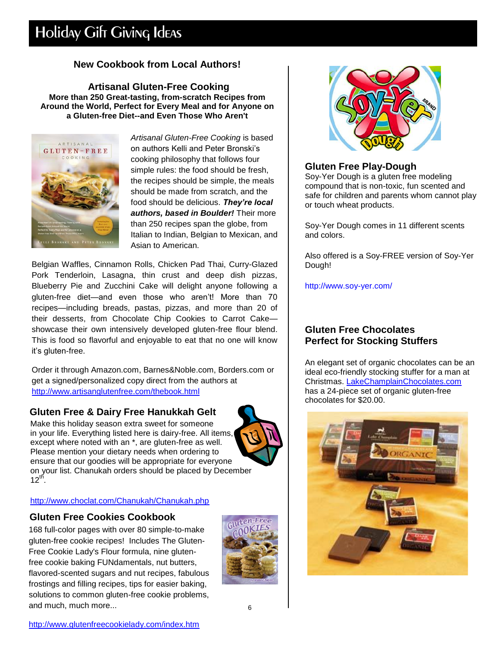# Holiday Gift Giving Ideas

### **New Cookbook from Local Authors!**

**Artisanal Gluten-Free Cooking More than 250 Great-tasting, from-scratch Recipes from Around the World, Perfect for Every Meal and for Anyone on a Gluten-free Diet--and Even Those Who Aren't**



*Artisanal Gluten-Free Cooking* is based on authors Kelli and Peter Bronski's cooking philosophy that follows four simple rules: the food should be fresh, the recipes should be simple, the meals should be made from scratch, and the food should be delicious. *They're local authors, based in Boulder!* Their more than 250 recipes span the globe, from Italian to Indian, Belgian to Mexican, and Asian to American.

Belgian Waffles, Cinnamon Rolls, Chicken Pad Thai, Curry-Glazed Pork Tenderloin, Lasagna, thin crust and deep dish pizzas, Blueberry Pie and Zucchini Cake will delight anyone following a gluten-free diet—and even those who aren't! More than 70 recipes—including breads, pastas, pizzas, and more than 20 of their desserts, from Chocolate Chip Cookies to Carrot Cake showcase their own intensively developed gluten-free flour blend. This is food so flavorful and enjoyable to eat that no one will know it's gluten-free.

Order it through Amazon.com, Barnes&Noble.com, Borders.com or get a signed/personalized copy direct from the authors at <http://www.artisanglutenfree.com/thebook.html>

### **Gluten Free & Dairy Free Hanukkah Gelt**

Make this holiday season extra sweet for someone in your life. Everything listed here is dairy-free. All items, except where noted with an \*, are gluten-free as well. Please mention your dietary needs when ordering to ensure that our goodies will be appropriate for everyone on your list. Chanukah orders should be placed by December  $12^{th}$ .



#### <http://www.choclat.com/Chanukah/Chanukah.php>

#### **Gluten Free Cookies Cookbook**

168 full-color pages with over 80 simple-to-make gluten-free cookie recipes! Includes The Gluten-Free Cookie Lady's Flour formula, nine glutenfree cookie baking FUNdamentals, nut butters, flavored-scented sugars and nut recipes, fabulous frostings and filling recipes, tips for easier baking, solutions to common gluten-free cookie problems, and much, much more...





#### **Gluten Free Play-Dough**

Soy-Yer Dough is a gluten free modeling compound that is non-toxic, fun scented and safe for children and parents whom cannot play or touch wheat products.

Soy-Yer Dough comes in 11 different scents and colors.

Also offered is a Soy-FREE version of Soy-Yer Dough!

<http://www.soy-yer.com/>

#### **Gluten Free Chocolates Perfect for Stocking Stuffers**

An elegant set of organic chocolates can be an ideal eco-friendly stocking stuffer for a man at Christmas. [LakeChamplainChocolates.com](http://www.lakechamplainchocolates.com/Chocolate/Organic-Chocolate/Organic-Gifts.aspx?C1=feeds&source=AGC001) has a 24-piece set of organic gluten-free chocolates for \$20.00.

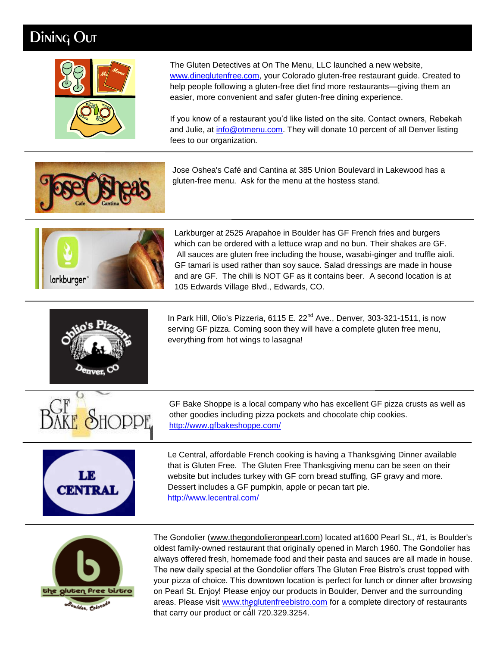# Dining Out



The Gluten Detectives at On The Menu, LLC launched a new website, [www.dineglutenfree.com,](http://www.dineglutenfree.com/) your Colorado gluten-free restaurant guide. Created to help people following a gluten-free diet find more restaurants—giving them an easier, more convenient and safer gluten-free dining experience.

If you know of a restaurant you'd like listed on the site. Contact owners, Rebekah and Julie, at [info@otmenu.com.](http://us.mc464.mail.yahoo.com/mc/compose?to=info@otmenu.com) They will donate 10 percent of all Denver listing fees to our organization.

Jose Oshea's Café and Cantina at 385 Union Boulevard in Lakewood has a gluten-free menu. Ask for the menu at the hostess stand.



Larkburger at 2525 Arapahoe in Boulder has GF French fries and burgers which can be ordered with a lettuce wrap and no bun. Their shakes are GF. All sauces are gluten free including the house, wasabi-ginger and truffle aioli. GF tamari is used rather than soy sauce. Salad dressings are made in house and are GF. The chili is NOT GF as it contains beer. A second location is at 105 Edwards Village Blvd., Edwards, CO.



In Park Hill, Olio's Pizzeria, 6115 E. 22<sup>nd</sup> Ave., Denver, 303-321-1511, is now serving GF pizza. Coming soon they will have a complete gluten free menu, everything from hot wings to lasagna!



.



GF Bake Shoppe is a local company who has excellent GF pizza crusts as well as other goodies including pizza pockets and chocolate chip cookies. <http://www.gfbakeshoppe.com/>

Le Central, affordable French cooking is having a Thanksgiving Dinner available that is Gluten Free. The Gluten Free Thanksgiving menu can be seen on their website but includes turkey with GF corn bread stuffing, GF gravy and more. Dessert includes a GF pumpkin, apple or pecan tart pie. <http://www.lecentral.com/>



that carry our product or call 720.329.3254. The Gondolier [\(www.thegondolieronpearl.com\)](http://www.thegondolieronpearl.com/) located at1600 Pearl St., #1, is Boulder's oldest family-owned restaurant that originally opened in March 1960. The Gondolier has always offered fresh, homemade food and their pasta and sauces are all made in house. The new daily special at the Gondolier offers The Gluten Free Bistro's crust topped with your pizza of choice. This downtown location is perfect for lunch or dinner after browsing on Pearl St. Enjoy! Please enjoy our products in Boulder, Denver and the surrounding areas. Please visit [www.theglutenfreebistro.com](http://www.theglutenfreebistro.com/) for a complete directory of restaurants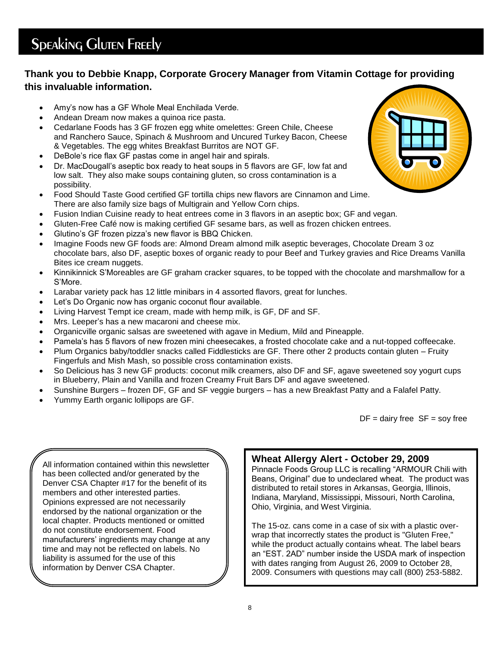# **Speaking Gluten Freely**

### **Thank you to Debbie Knapp, Corporate Grocery Manager from Vitamin Cottage for providing this invaluable information.**

- Amy's now has a GF Whole Meal Enchilada Verde.
- Andean Dream now makes a quinoa rice pasta.
- Cedarlane Foods has 3 GF frozen egg white omelettes: Green Chile, Cheese and Ranchero Sauce, Spinach & Mushroom and Uncured Turkey Bacon, Cheese & Vegetables. The egg whites Breakfast Burritos are NOT GF.
- DeBole's rice flax GF pastas come in angel hair and spirals.
- Dr. MacDougall's aseptic box ready to heat soups in 5 flavors are GF, low fat and low salt. They also make soups containing gluten, so cross contamination is a possibility.
- Food Should Taste Good certified GF tortilla chips new flavors are Cinnamon and Lime. There are also family size bags of Multigrain and Yellow Corn chips.
- Fusion Indian Cuisine ready to heat entrees come in 3 flavors in an aseptic box; GF and vegan.
- Gluten-Free Café now is making certified GF sesame bars, as well as frozen chicken entrees.
- Glutino's GF frozen pizza's new flavor is BBQ Chicken.
- Imagine Foods new GF foods are: Almond Dream almond milk aseptic beverages, Chocolate Dream 3 oz chocolate bars, also DF, aseptic boxes of organic ready to pour Beef and Turkey gravies and Rice Dreams Vanilla Bites ice cream nuggets.
- Kinnikinnick S'Moreables are GF graham cracker squares, to be topped with the chocolate and marshmallow for a S'More.
- Larabar variety pack has 12 little minibars in 4 assorted flavors, great for lunches.
- Let's Do Organic now has organic coconut flour available.
- Living Harvest Tempt ice cream, made with hemp milk, is GF, DF and SF.
- Mrs. Leeper's has a new macaroni and cheese mix.
- Organicville organic salsas are sweetened with agave in Medium, Mild and Pineapple.
- Pamela's has 5 flavors of new frozen mini cheesecakes, a frosted chocolate cake and a nut-topped coffeecake.
- Plum Organics baby/toddler snacks called Fiddlesticks are GF. There other 2 products contain gluten Fruity Fingerfuls and Mish Mash, so possible cross contamination exists.
- So Delicious has 3 new GF products: coconut milk creamers, also DF and SF, agave sweetened soy yogurt cups in Blueberry, Plain and Vanilla and frozen Creamy Fruit Bars DF and agave sweetened.
- Sunshine Burgers frozen DF, GF and SF veggie burgers has a new Breakfast Patty and a Falafel Patty.
- Yummy Earth organic lollipops are GF.

 $DF =$  dairy free  $SF =$  soy free

All information contained within this newsletter has been collected and/or generated by the Denver CSA Chapter #17 for the benefit of its members and other interested parties. Opinions expressed are not necessarily endorsed by the national organization or the local chapter. Products mentioned or omitted do not constitute endorsement. Food manufacturers' ingredients may change at any time and may not be reflected on labels. No liability is assumed for the use of this information by Denver CSA Chapter.

### **Wheat Allergy Alert - October 29, 2009**

Pinnacle Foods Group LLC is recalling "ARMOUR Chili with Beans, Original" due to undeclared wheat. The product was distributed to retail stores in Arkansas, Georgia, Illinois, Indiana, Maryland, Mississippi, Missouri, North Carolina, Ohio, Virginia, and West Virginia.

The 15-oz. cans come in a case of six with a plastic overwrap that incorrectly states the product is "Gluten Free," while the product actually contains wheat. The label bears an "EST. 2AD" number inside the USDA mark of inspection with dates ranging from August 26, 2009 to October 28, 2009. Consumers with questions may call (800) 253-5882.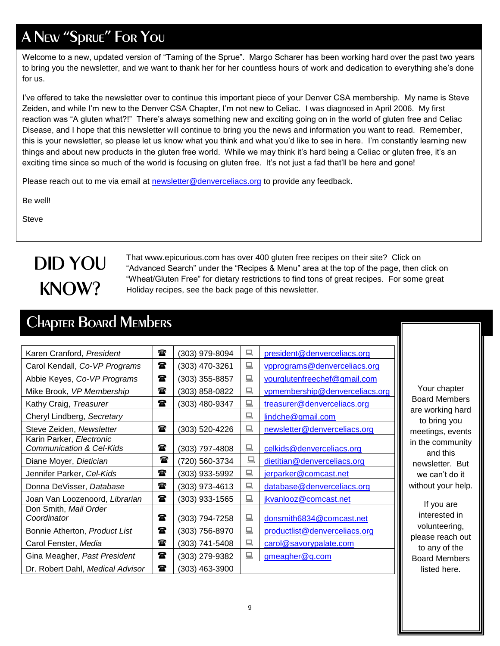# A New "Sprue" For You

Welcome to a new, updated version of "Taming of the Sprue". Margo Scharer has been working hard over the past two years to bring you the newsletter, and we want to thank her for her countless hours of work and dedication to everything she's done for us.

I've offered to take the newsletter over to continue this important piece of your Denver CSA membership. My name is Steve Zeiden, and while I'm new to the Denver CSA Chapter, I'm not new to Celiac. I was diagnosed in April 2006. My first reaction was "A gluten what?!" There's always something new and exciting going on in the world of gluten free and Celiac Disease, and I hope that this newsletter will continue to bring you the news and information you want to read. Remember, this is your newsletter, so please let us know what you think and what you'd like to see in here. I'm constantly learning new things and about new products in the gluten free world. While we may think it's hard being a Celiac or gluten free, it's an exciting time since so much of the world is focusing on gluten free. It's not just a fad that'll be here and gone!

Please reach out to me via email at [newsletter@denverceliacs.org](mailto:newsletter@denverceliacs.org) to provide any feedback.

Be well!

**Steve** 

# DID YOU KNOW?

That www.epicurious.com has over 400 gluten free recipes on their site? Click on "Advanced Search" under the "Recipes & Menu" area at the top of the page, then click on ―Wheat/Gluten Free‖ for dietary restrictions to find tons of great recipes. For some great Holiday recipes, see the back page of this newsletter.

# Chapter Board Members

| Karen Cranford, President                                       | $\mathbf{r}$ | (303) 979-8094 | 鳳 | president@denverceliacs.org    |   |
|-----------------------------------------------------------------|--------------|----------------|---|--------------------------------|---|
| Carol Kendall, Co-VP Programs                                   | $\mathbf{a}$ | (303) 470-3261 | 鳳 | vpprograms@denverceliacs.org   |   |
| Abbie Keyes, Co-VP Programs                                     | $\mathbf{a}$ | (303) 355-8857 | 鳳 | yourglutenfreechef@gmail.com   |   |
| Mike Brook, VP Membership                                       | $\mathbf{r}$ | (303) 858-0822 | 鳳 | vpmembership@denverceliacs.org |   |
| Kathy Craig, Treasurer                                          | $\mathbf{r}$ | (303) 480-9347 | 鳳 | treasurer@denverceliacs.org    |   |
| Cheryl Lindberg, Secretary                                      |              |                | 鳳 | lindche@gmail.com              |   |
| Steve Zeiden, Newsletter                                        | $\mathbf{a}$ | (303) 520-4226 | 鳳 | newsletter@denverceliacs.org   |   |
| Karin Parker, Electronic<br><b>Communication &amp; Cel-Kids</b> | 雷            | (303) 797-4808 | 鳳 | celkids@denverceliacs.org      |   |
| Diane Moyer, Dietician                                          | $\mathbf{r}$ | (720) 560-3734 | 鳳 | dietitian@denverceliacs.org    |   |
| Jennifer Parker, Cel-Kids                                       | 雷            | (303) 933-5992 | 鳳 | jerparker@comcast.net          |   |
| Donna DeVisser, Database                                        | $\mathbf{r}$ | (303) 973-4613 | 鳳 | database@denverceliacs.org     | ٧ |
| Joan Van Loozenoord, Librarian                                  | $\mathbf{r}$ | (303) 933-1565 | 鳳 | jkvanlooz@comcast.net          |   |
| Don Smith, Mail Order<br>Coordinator                            | $\mathbf{a}$ | (303) 794-7258 | 鳳 | donsmith6834@comcast.net       |   |
| Bonnie Atherton, Product List                                   | $\mathbf{r}$ | (303) 756-8970 | 鳳 | productlist@denverceliacs.org  |   |
| Carol Fenster, Media                                            | $\mathbf{r}$ | (303) 741-5408 | 鳳 | carol@savorypalate.com         |   |
| Gina Meagher, Past President                                    | $\mathbf{r}$ | (303) 279-9382 | 鳳 | gmeagher@q.com                 |   |
| Dr. Robert Dahl, Medical Advisor                                | $\mathbf{r}$ | (303) 463-3900 |   |                                |   |

Your chapter Board Members are working hard to bring you meetings, events n the community and this newsletter. But we can't do it without your help.

If you are interested in volunteering, please reach out to any of the Board Members listed here.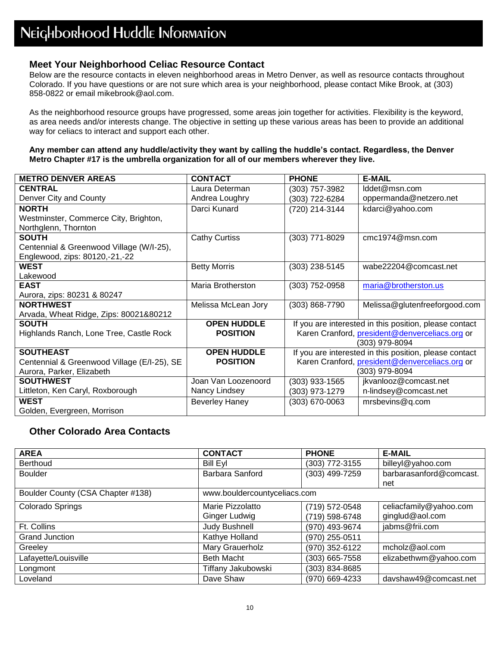#### **Meet Your Neighborhood Celiac Resource Contact**

Below are the resource contacts in eleven neighborhood areas in Metro Denver, as well as resource contacts throughout Colorado. If you have questions or are not sure which area is your neighborhood, please contact Mike Brook, at (303) 858-0822 or email mikebrook@aol.com.

As the neighborhood resource groups have progressed, some areas join together for activities. Flexibility is the keyword, as area needs and/or interests change. The objective in setting up these various areas has been to provide an additional way for celiacs to interact and support each other.

#### **Any member can attend any huddle/activity they want by calling the huddle's contact. Regardless, the Denver Metro Chapter #17 is the umbrella organization for all of our members wherever they live.**

| <b>METRO DENVER AREAS</b>                   | <b>CONTACT</b>        | <b>PHONE</b>   | <b>E-MAIL</b>                                          |
|---------------------------------------------|-----------------------|----------------|--------------------------------------------------------|
| <b>CENTRAL</b>                              | Laura Determan        | (303) 757-3982 | lddet@msn.com                                          |
| Denver City and County                      | Andrea Loughry        | (303) 722-6284 | oppermanda@netzero.net                                 |
| <b>NORTH</b>                                | Darci Kunard          | (720) 214-3144 | kdarci@yahoo.com                                       |
| Westminster, Commerce City, Brighton,       |                       |                |                                                        |
| Northglenn, Thornton                        |                       |                |                                                        |
| <b>SOUTH</b>                                | <b>Cathy Curtiss</b>  | (303) 771-8029 | cmc1974@msn.com                                        |
| Centennial & Greenwood Village (W/I-25),    |                       |                |                                                        |
| Englewood, zips: 80120,-21,-22              |                       |                |                                                        |
| <b>WEST</b>                                 | <b>Betty Morris</b>   | (303) 238-5145 | wabe22204@comcast.net                                  |
| Lakewood                                    |                       |                |                                                        |
| <b>EAST</b>                                 | Maria Brotherston     | (303) 752-0958 | maria@brotherston.us                                   |
| Aurora, zips: 80231 & 80247                 |                       |                |                                                        |
| <b>NORTHWEST</b>                            | Melissa McLean Jory   | (303) 868-7790 | Melissa@glutenfreeforgood.com                          |
| Arvada, Wheat Ridge, Zips: 80021&80212      |                       |                |                                                        |
| <b>SOUTH</b>                                | <b>OPEN HUDDLE</b>    |                | If you are interested in this position, please contact |
| Highlands Ranch, Lone Tree, Castle Rock     | <b>POSITION</b>       |                | Karen Cranford, president@denverceliacs.org or         |
|                                             |                       |                | (303) 979-8094                                         |
| <b>SOUTHEAST</b>                            | <b>OPEN HUDDLE</b>    |                | If you are interested in this position, please contact |
| Centennial & Greenwood Village (E/I-25), SE | <b>POSITION</b>       |                | Karen Cranford, president@denverceliacs.org or         |
| Aurora, Parker, Elizabeth                   |                       |                | (303) 979-8094                                         |
| <b>SOUTHWEST</b>                            | Joan Van Loozenoord   | (303) 933-1565 | jkvanlooz@comcast.net                                  |
| Littleton, Ken Caryl, Roxborough            | Nancy Lindsey         | (303) 973-1279 | n-lindsey@comcast.net                                  |
| <b>WEST</b>                                 | <b>Beverley Haney</b> | (303) 670-0063 | mrsbevins@q.com                                        |
| Golden, Evergreen, Morrison                 |                       |                |                                                        |

#### **Other Colorado Area Contacts**

| <b>AREA</b>                       | <b>CONTACT</b>               | <b>PHONE</b>   | <b>E-MAIL</b>           |
|-----------------------------------|------------------------------|----------------|-------------------------|
| <b>Berthoud</b>                   | <b>Bill Eyl</b>              | (303) 772-3155 | billeyl@yahoo.com       |
| <b>Boulder</b>                    | Barbara Sanford              | (303) 499-7259 | barbarasanford@comcast. |
|                                   |                              |                | net                     |
| Boulder County (CSA Chapter #138) | www.bouldercountyceliacs.com |                |                         |
| Colorado Springs                  | Marie Pizzolatto             | (719) 572-0548 | celiacfamily@yahoo.com  |
|                                   | Ginger Ludwig                | (719) 598-6748 | ginglud@aol.com         |
| Ft. Collins                       | Judy Bushnell                | (970) 493-9674 | jabms@frii.com          |
| <b>Grand Junction</b>             | Kathye Holland               | (970) 255-0511 |                         |
| Greeley                           | Mary Grauerholz              | (970) 352-6122 | mcholz@aol.com          |
| Lafayette/Louisville              | <b>Beth Macht</b>            | (303) 665-7558 | elizabethwm@yahoo.com   |
| Longmont                          | Tiffany Jakubowski           | (303) 834-8685 |                         |
| Loveland                          | Dave Shaw                    | (970) 669-4233 | davshaw49@comcast.net   |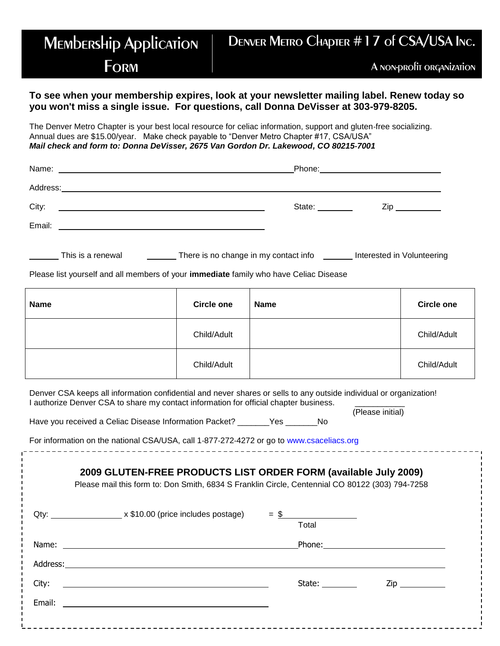### **MEMbERSHip Application FORM** Denver Metro Chapter #17 of CSA/USA Inc. A non-profit organization

#### **To see when your membership expires, look at your newsletter mailing label. Renew today so you won't miss a single issue. For questions, call Donna DeVisser at 303-979-8205.**

The Denver Metro Chapter is your best local resource for celiac information, support and gluten‐free socializing. Annual dues are \$15.00/year. Make check payable to "Denver Metro Chapter #17, CSA/USA" *Mail check and form to: Donna DeVisser, 2675 Van Gordon Dr. Lakewood, CO 80215‐7001*

| Name:<br><u> 1989 - Jan Barbara de Santo III e al Indonesia de la contrada de la contrada de la contrada de la contrada de</u> | Phone: 2000 2000 2010 2010 2010 2010 2021 2022 2023 2024 2022 2023 2024 2022 2023 2024 2022 2023 2024 2025 20 |                                    |
|--------------------------------------------------------------------------------------------------------------------------------|---------------------------------------------------------------------------------------------------------------|------------------------------------|
|                                                                                                                                |                                                                                                               |                                    |
| City:                                                                                                                          | State: ________                                                                                               | $\mathsf{Zip} \_\_\_\_\_\_\_\_\_\$ |
| Email:<br><u> 1989 - Andrea Andrew Maria (h. 1989).</u>                                                                        |                                                                                                               |                                    |
|                                                                                                                                |                                                                                                               |                                    |

| There is no change in my contact info<br>This is a renewal | Interested in Volunteering |
|------------------------------------------------------------|----------------------------|
|                                                            |                            |

Please list yourself and all members of your **immediate** family who have Celiac Disease

| <b>Name</b> | <b>Circle one</b> | <b>Name</b> | <b>Circle one</b> |
|-------------|-------------------|-------------|-------------------|
|             | Child/Adult       |             | Child/Adult       |
|             | Child/Adult       |             | Child/Adult       |

Denver CSA keeps all information confidential and never shares or sells to any outside individual or organization! I authorize Denver CSA to share my contact information for official chapter business.

(Please initial) Have you received a Celiac Disease Information Packet? \_\_\_\_\_\_\_Yes \_\_\_\_\_\_\_No

For information on the national CSA/USA, call 1‐877‐272‐4272 or go to www.csaceliacs.org

| 2009 GLUTEN-FREE PRODUCTS LIST ORDER FORM (available July 2009)<br>Please mail this form to: Don Smith, 6834 S Franklin Circle, Centennial CO 80122 (303) 794-7258 |                                                                                                                                                                                                                                |
|--------------------------------------------------------------------------------------------------------------------------------------------------------------------|--------------------------------------------------------------------------------------------------------------------------------------------------------------------------------------------------------------------------------|
| Qty: $\frac{\text{Qt}}{\text{Qt}}$ x \$10.00 (price includes postage) = \$<br>Total                                                                                |                                                                                                                                                                                                                                |
|                                                                                                                                                                    |                                                                                                                                                                                                                                |
|                                                                                                                                                                    |                                                                                                                                                                                                                                |
| State:<br><u> 1980 - Andrea Andrew Maria (h. 1980).</u>                                                                                                            | Ziper and the second service of the series of the series of the series of the series of the series of the series of the series of the series of the series of the series of the series of the series of the series of the seri |
| <u> 1980 - Jan Samuel Barbara, margaret e populazion del control del control del control del control de la control</u>                                             |                                                                                                                                                                                                                                |
|                                                                                                                                                                    |                                                                                                                                                                                                                                |